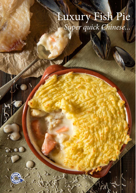# Luxury Fish Pie<br>Super quick Chinese...